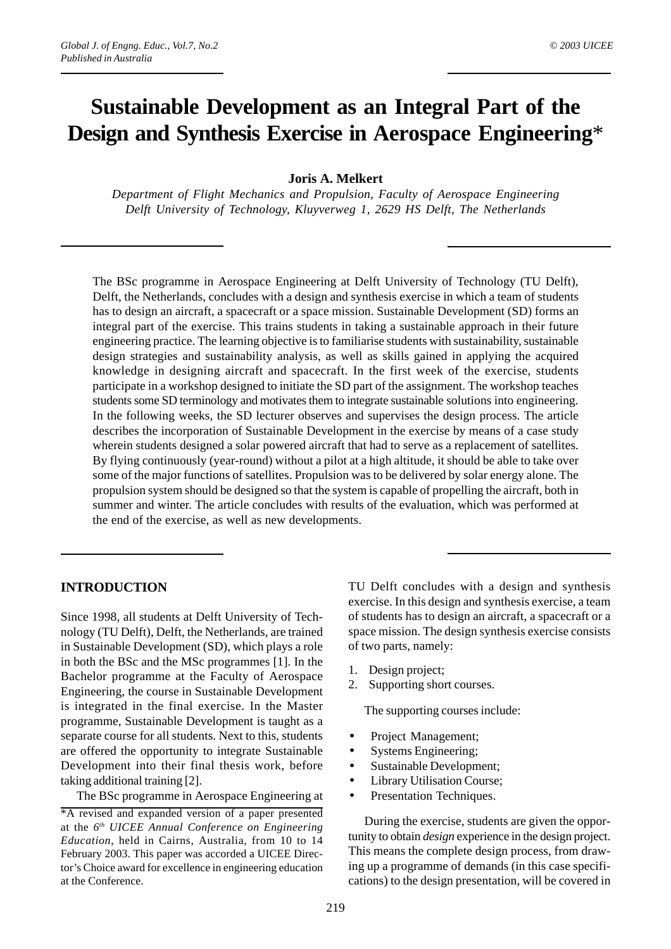# **Sustainable Development as an Integral Part of the Design and Synthesis Exercise in Aerospace Engineering**\*

## **Joris A. Melkert**

*Department of Flight Mechanics and Propulsion, Faculty of Aerospace Engineering Delft University of Technology, Kluyverweg 1, 2629 HS Delft, The Netherlands*

The BSc programme in Aerospace Engineering at Delft University of Technology (TU Delft), Delft, the Netherlands, concludes with a design and synthesis exercise in which a team of students has to design an aircraft, a spacecraft or a space mission. Sustainable Development (SD) forms an integral part of the exercise. This trains students in taking a sustainable approach in their future engineering practice. The learning objective is to familiarise students with sustainability, sustainable design strategies and sustainability analysis, as well as skills gained in applying the acquired knowledge in designing aircraft and spacecraft. In the first week of the exercise, students participate in a workshop designed to initiate the SD part of the assignment. The workshop teaches students some SD terminology and motivates them to integrate sustainable solutions into engineering. In the following weeks, the SD lecturer observes and supervises the design process. The article describes the incorporation of Sustainable Development in the exercise by means of a case study wherein students designed a solar powered aircraft that had to serve as a replacement of satellites. By flying continuously (year-round) without a pilot at a high altitude, it should be able to take over some of the major functions of satellites. Propulsion was to be delivered by solar energy alone. The propulsion system should be designed so that the system is capable of propelling the aircraft, both in summer and winter. The article concludes with results of the evaluation, which was performed at the end of the exercise, as well as new developments.

# **INTRODUCTION**

Since 1998, all students at Delft University of Technology (TU Delft), Delft, the Netherlands, are trained in Sustainable Development (SD), which plays a role in both the BSc and the MSc programmes [1]. In the Bachelor programme at the Faculty of Aerospace Engineering, the course in Sustainable Development is integrated in the final exercise. In the Master programme, Sustainable Development is taught as a separate course for all students. Next to this, students are offered the opportunity to integrate Sustainable Development into their final thesis work, before taking additional training [2].

The BSc programme in Aerospace Engineering at

TU Delft concludes with a design and synthesis exercise. In this design and synthesis exercise, a team of students has to design an aircraft, a spacecraft or a space mission. The design synthesis exercise consists of two parts, namely:

- 1. Design project;
- 2. Supporting short courses.

The supporting courses include:

- Project Management;
- Systems Engineering;
- Sustainable Development;
- Library Utilisation Course;
- Presentation Techniques.

During the exercise, students are given the opportunity to obtain *design* experience in the design project. This means the complete design process, from drawing up a programme of demands (in this case specifications) to the design presentation, will be covered in

<sup>\*</sup>A revised and expanded version of a paper presented at the *6th UICEE Annual Conference on Engineering Education*, held in Cairns, Australia, from 10 to 14 February 2003. This paper was accorded a UICEE Director's Choice award for excellence in engineering education at the Conference.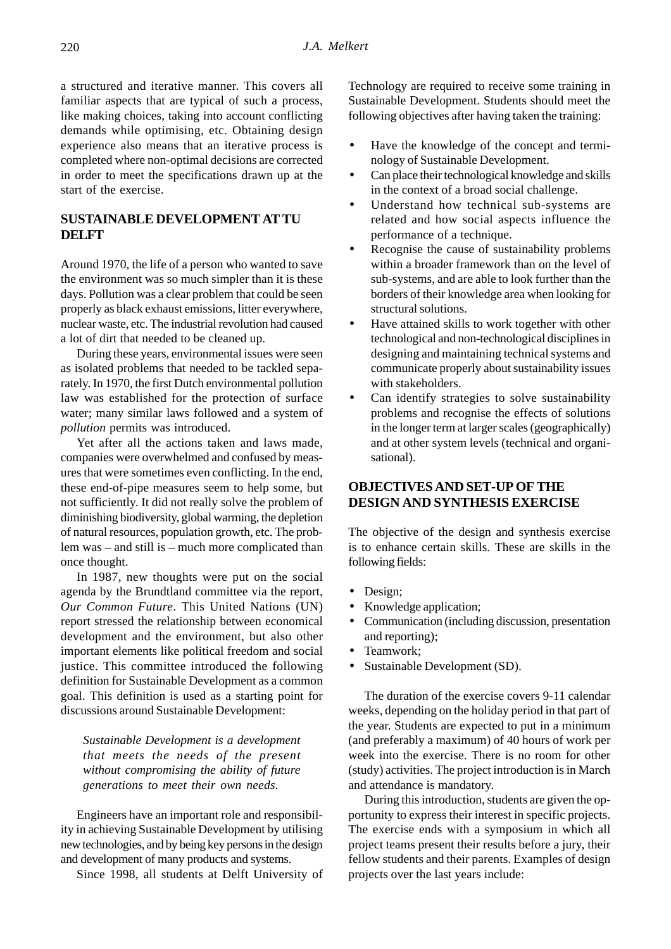a structured and iterative manner. This covers all familiar aspects that are typical of such a process, like making choices, taking into account conflicting demands while optimising, etc. Obtaining design experience also means that an iterative process is completed where non-optimal decisions are corrected in order to meet the specifications drawn up at the start of the exercise.

# **SUSTAINABLE DEVELOPMENT AT TU DELFT**

Around 1970, the life of a person who wanted to save the environment was so much simpler than it is these days. Pollution was a clear problem that could be seen properly as black exhaust emissions, litter everywhere, nuclear waste, etc. The industrial revolution had caused a lot of dirt that needed to be cleaned up.

During these years, environmental issues were seen as isolated problems that needed to be tackled separately. In 1970, the first Dutch environmental pollution law was established for the protection of surface water; many similar laws followed and a system of *pollution* permits was introduced.

Yet after all the actions taken and laws made, companies were overwhelmed and confused by measures that were sometimes even conflicting. In the end, these end-of-pipe measures seem to help some, but not sufficiently. It did not really solve the problem of diminishing biodiversity, global warming, the depletion of natural resources, population growth, etc. The problem was – and still is – much more complicated than once thought.

In 1987, new thoughts were put on the social agenda by the Brundtland committee via the report, *Our Common Future*. This United Nations (UN) report stressed the relationship between economical development and the environment, but also other important elements like political freedom and social justice. This committee introduced the following definition for Sustainable Development as a common goal. This definition is used as a starting point for discussions around Sustainable Development:

*Sustainable Development is a development that meets the needs of the present without compromising the ability of future generations to meet their own needs.*

Engineers have an important role and responsibility in achieving Sustainable Development by utilising new technologies, and by being key persons in the design and development of many products and systems.

Since 1998, all students at Delft University of

Technology are required to receive some training in Sustainable Development. Students should meet the following objectives after having taken the training:

- Have the knowledge of the concept and terminology of Sustainable Development.
- Can place their technological knowledge and skills in the context of a broad social challenge.
- Understand how technical sub-systems are related and how social aspects influence the performance of a technique.
- Recognise the cause of sustainability problems within a broader framework than on the level of sub-systems, and are able to look further than the borders of their knowledge area when looking for structural solutions.
- Have attained skills to work together with other technological and non-technological disciplines in designing and maintaining technical systems and communicate properly about sustainability issues with stakeholders.
- Can identify strategies to solve sustainability problems and recognise the effects of solutions in the longer term at larger scales (geographically) and at other system levels (technical and organisational).

# **OBJECTIVES AND SET-UP OF THE DESIGN AND SYNTHESIS EXERCISE**

The objective of the design and synthesis exercise is to enhance certain skills. These are skills in the following fields:

- Design:
- Knowledge application;
- Communication (including discussion, presentation and reporting);
- Teamwork;
- Sustainable Development (SD).

The duration of the exercise covers 9-11 calendar weeks, depending on the holiday period in that part of the year. Students are expected to put in a minimum (and preferably a maximum) of 40 hours of work per week into the exercise. There is no room for other (study) activities. The project introduction is in March and attendance is mandatory.

During this introduction, students are given the opportunity to express their interest in specific projects. The exercise ends with a symposium in which all project teams present their results before a jury, their fellow students and their parents. Examples of design projects over the last years include: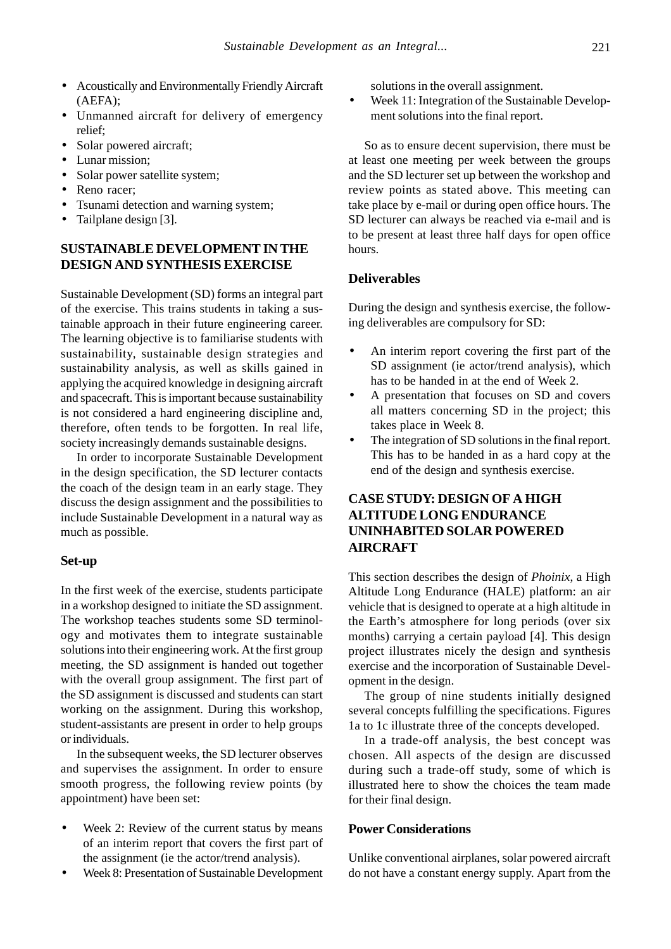- Acoustically and Environmentally Friendly Aircraft (AEFA);
- Unmanned aircraft for delivery of emergency relief;
- Solar powered aircraft;
- Lunar mission;
- Solar power satellite system;
- Reno racer;
- Tsunami detection and warning system;
- Tailplane design [3].

## **SUSTAINABLE DEVELOPMENT IN THE DESIGN AND SYNTHESIS EXERCISE**

Sustainable Development (SD) forms an integral part of the exercise. This trains students in taking a sustainable approach in their future engineering career. The learning objective is to familiarise students with sustainability, sustainable design strategies and sustainability analysis, as well as skills gained in applying the acquired knowledge in designing aircraft and spacecraft. This is important because sustainability is not considered a hard engineering discipline and, therefore, often tends to be forgotten. In real life, society increasingly demands sustainable designs.

In order to incorporate Sustainable Development in the design specification, the SD lecturer contacts the coach of the design team in an early stage. They discuss the design assignment and the possibilities to include Sustainable Development in a natural way as much as possible.

### **Set-up**

In the first week of the exercise, students participate in a workshop designed to initiate the SD assignment. The workshop teaches students some SD terminology and motivates them to integrate sustainable solutions into their engineering work. At the first group meeting, the SD assignment is handed out together with the overall group assignment. The first part of the SD assignment is discussed and students can start working on the assignment. During this workshop, student-assistants are present in order to help groups or individuals.

In the subsequent weeks, the SD lecturer observes and supervises the assignment. In order to ensure smooth progress, the following review points (by appointment) have been set:

- Week 2: Review of the current status by means of an interim report that covers the first part of the assignment (ie the actor/trend analysis).
- Week 8: Presentation of Sustainable Development

solutions in the overall assignment.

Week 11: Integration of the Sustainable Development solutions into the final report.

So as to ensure decent supervision, there must be at least one meeting per week between the groups and the SD lecturer set up between the workshop and review points as stated above. This meeting can take place by e-mail or during open office hours. The SD lecturer can always be reached via e-mail and is to be present at least three half days for open office hours.

## **Deliverables**

During the design and synthesis exercise, the following deliverables are compulsory for SD:

- An interim report covering the first part of the SD assignment (ie actor/trend analysis), which has to be handed in at the end of Week 2.
- A presentation that focuses on SD and covers all matters concerning SD in the project; this takes place in Week 8.
- The integration of SD solutions in the final report. This has to be handed in as a hard copy at the end of the design and synthesis exercise.

# **CASE STUDY: DESIGN OF A HIGH ALTITUDE LONG ENDURANCE UNINHABITED SOLAR POWERED AIRCRAFT**

This section describes the design of *Phoinix*, a High Altitude Long Endurance (HALE) platform: an air vehicle that is designed to operate at a high altitude in the Earth's atmosphere for long periods (over six months) carrying a certain payload [4]. This design project illustrates nicely the design and synthesis exercise and the incorporation of Sustainable Development in the design.

The group of nine students initially designed several concepts fulfilling the specifications. Figures 1a to 1c illustrate three of the concepts developed.

In a trade-off analysis, the best concept was chosen. All aspects of the design are discussed during such a trade-off study, some of which is illustrated here to show the choices the team made for their final design.

#### **Power Considerations**

Unlike conventional airplanes, solar powered aircraft do not have a constant energy supply. Apart from the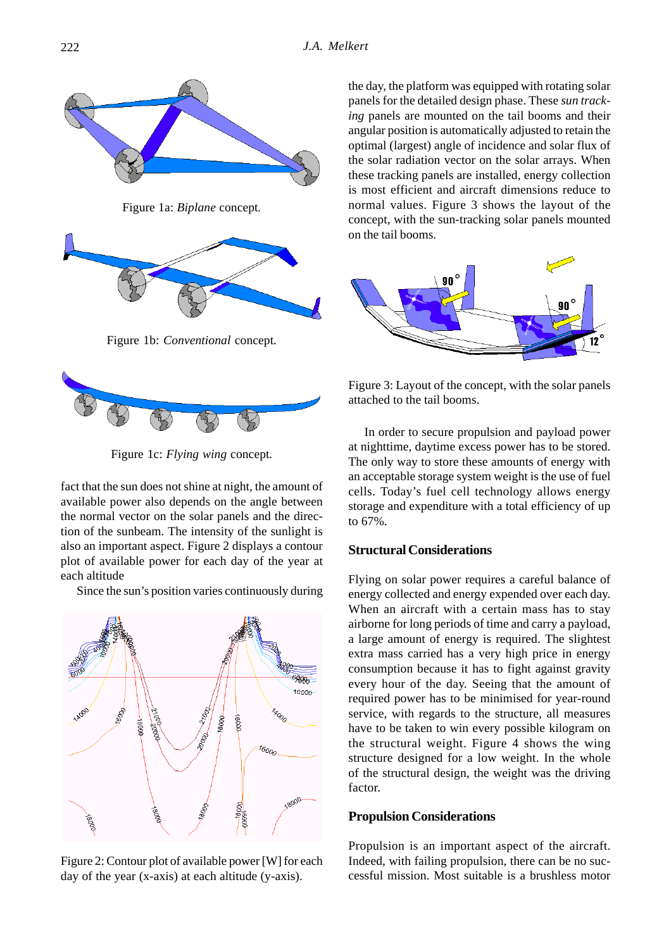

Figure 1c: *Flying wing* concept*.*

fact that the sun does not shine at night, the amount of available power also depends on the angle between the normal vector on the solar panels and the direction of the sunbeam. The intensity of the sunlight is also an important aspect. Figure 2 displays a contour plot of available power for each day of the year at each altitude

Since the sun's position varies continuously during



Figure 2: Contour plot of available power [W] for each day of the year (x-axis) at each altitude (y-axis).

the day, the platform was equipped with rotating solar panels for the detailed design phase. These *sun tracking* panels are mounted on the tail booms and their angular position is automatically adjusted to retain the optimal (largest) angle of incidence and solar flux of the solar radiation vector on the solar arrays. When these tracking panels are installed, energy collection is most efficient and aircraft dimensions reduce to normal values. Figure 3 shows the layout of the concept, with the sun-tracking solar panels mounted on the tail booms.



Figure 3: Layout of the concept, with the solar panels attached to the tail booms.

In order to secure propulsion and payload power at nighttime, daytime excess power has to be stored. The only way to store these amounts of energy with an acceptable storage system weight is the use of fuel cells. Today's fuel cell technology allows energy storage and expenditure with a total efficiency of up to 67%.

## **Structural Considerations**

Flying on solar power requires a careful balance of energy collected and energy expended over each day. When an aircraft with a certain mass has to stay airborne for long periods of time and carry a payload, a large amount of energy is required. The slightest extra mass carried has a very high price in energy consumption because it has to fight against gravity every hour of the day. Seeing that the amount of required power has to be minimised for year-round service, with regards to the structure, all measures have to be taken to win every possible kilogram on the structural weight. Figure 4 shows the wing structure designed for a low weight. In the whole of the structural design, the weight was the driving factor.

#### **Propulsion Considerations**

Propulsion is an important aspect of the aircraft. Indeed, with failing propulsion, there can be no successful mission. Most suitable is a brushless motor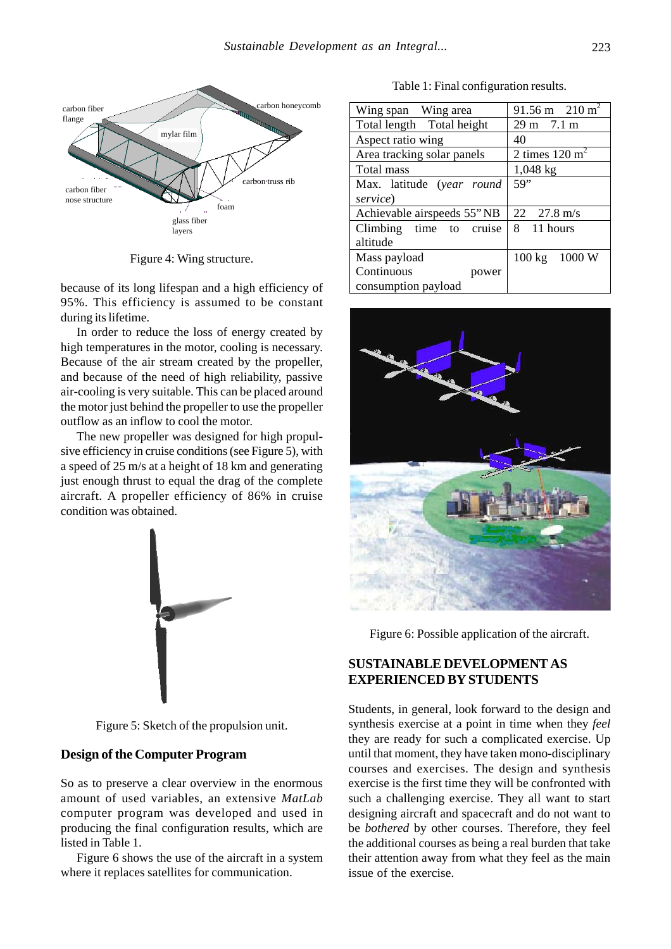

Figure 4: Wing structure.

because of its long lifespan and a high efficiency of 95%. This efficiency is assumed to be constant during its lifetime.

In order to reduce the loss of energy created by high temperatures in the motor, cooling is necessary. Because of the air stream created by the propeller, and because of the need of high reliability, passive air-cooling is very suitable. This can be placed around the motor just behind the propeller to use the propeller outflow as an inflow to cool the motor.

The new propeller was designed for high propulsive efficiency in cruise conditions (see Figure 5), with a speed of 25 m/s at a height of 18 km and generating just enough thrust to equal the drag of the complete aircraft. A propeller efficiency of 86% in cruise condition was obtained.



Figure 5: Sketch of the propulsion unit.

#### **Design of the Computer Program**

So as to preserve a clear overview in the enormous amount of used variables, an extensive *MatLab* computer program was developed and used in producing the final configuration results, which are listed in Table 1.

Figure 6 shows the use of the aircraft in a system where it replaces satellites for communication.

Table 1: Final configuration results.

| Wing span Wing area        | 91.56 m $210 \text{ m}^2$   |
|----------------------------|-----------------------------|
| Total length Total height  | $29 \text{ m}$ 7.1 m        |
| Aspect ratio wing          | 40                          |
| Area tracking solar panels | 2 times $120 \text{ m}^2$   |
| Total mass                 | $1,048 \text{ kg}$          |
| Max. latitude (year round  | 59"                         |
| service)                   |                             |
| Achievable airspeeds 55"NB | $22 \quad 27.8 \text{ m/s}$ |
| Climbing time to cruise    | 8 11 hours                  |
| altitude                   |                             |
| Mass payload               | 100 kg 1000 W               |
| Continuous<br>power        |                             |
| consumption payload        |                             |



Figure 6: Possible application of the aircraft.

# **SUSTAINABLE DEVELOPMENT AS EXPERIENCED BY STUDENTS**

Students, in general, look forward to the design and synthesis exercise at a point in time when they *feel* they are ready for such a complicated exercise. Up until that moment, they have taken mono-disciplinary courses and exercises. The design and synthesis exercise is the first time they will be confronted with such a challenging exercise. They all want to start designing aircraft and spacecraft and do not want to be *bothered* by other courses. Therefore, they feel the additional courses as being a real burden that take their attention away from what they feel as the main issue of the exercise.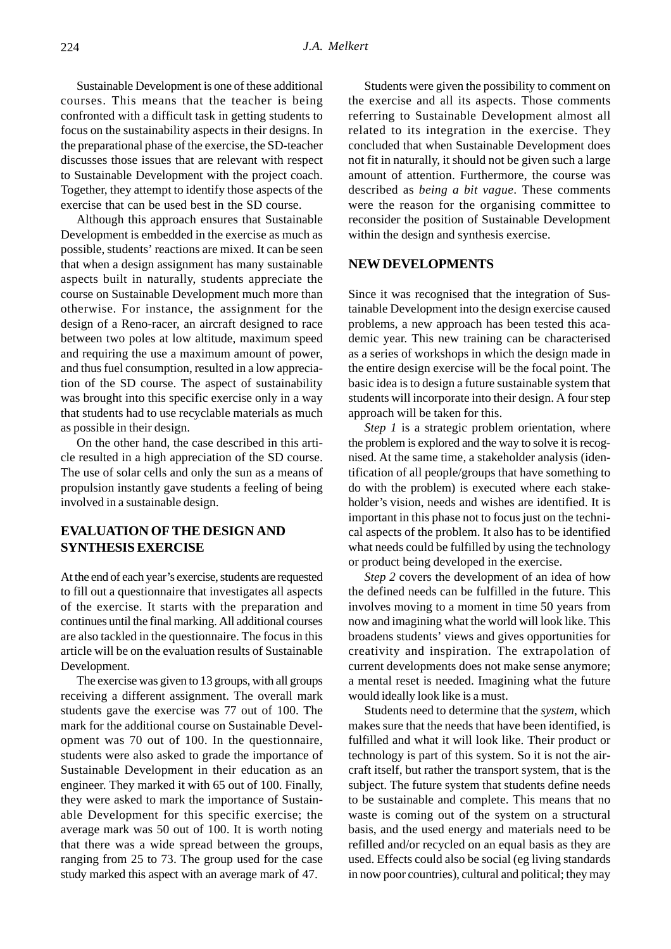Sustainable Development is one of these additional courses. This means that the teacher is being confronted with a difficult task in getting students to focus on the sustainability aspects in their designs. In the preparational phase of the exercise, the SD-teacher discusses those issues that are relevant with respect to Sustainable Development with the project coach. Together, they attempt to identify those aspects of the exercise that can be used best in the SD course.

Although this approach ensures that Sustainable Development is embedded in the exercise as much as possible, students' reactions are mixed. It can be seen that when a design assignment has many sustainable aspects built in naturally, students appreciate the course on Sustainable Development much more than otherwise. For instance, the assignment for the design of a Reno-racer, an aircraft designed to race between two poles at low altitude, maximum speed and requiring the use a maximum amount of power, and thus fuel consumption, resulted in a low appreciation of the SD course. The aspect of sustainability was brought into this specific exercise only in a way that students had to use recyclable materials as much as possible in their design.

On the other hand, the case described in this article resulted in a high appreciation of the SD course. The use of solar cells and only the sun as a means of propulsion instantly gave students a feeling of being involved in a sustainable design.

## **EVALUATION OF THE DESIGN AND SYNTHESIS EXERCISE**

At the end of each year's exercise, students are requested to fill out a questionnaire that investigates all aspects of the exercise. It starts with the preparation and continues until the final marking. All additional courses are also tackled in the questionnaire. The focus in this article will be on the evaluation results of Sustainable Development.

The exercise was given to 13 groups, with all groups receiving a different assignment. The overall mark students gave the exercise was 77 out of 100. The mark for the additional course on Sustainable Development was 70 out of 100. In the questionnaire, students were also asked to grade the importance of Sustainable Development in their education as an engineer. They marked it with 65 out of 100. Finally, they were asked to mark the importance of Sustainable Development for this specific exercise; the average mark was 50 out of 100. It is worth noting that there was a wide spread between the groups, ranging from 25 to 73. The group used for the case study marked this aspect with an average mark of 47.

Students were given the possibility to comment on the exercise and all its aspects. Those comments referring to Sustainable Development almost all related to its integration in the exercise. They concluded that when Sustainable Development does not fit in naturally, it should not be given such a large amount of attention. Furthermore, the course was described as *being a bit vague*. These comments were the reason for the organising committee to reconsider the position of Sustainable Development within the design and synthesis exercise.

## **NEW DEVELOPMENTS**

Since it was recognised that the integration of Sustainable Development into the design exercise caused problems, a new approach has been tested this academic year. This new training can be characterised as a series of workshops in which the design made in the entire design exercise will be the focal point. The basic idea is to design a future sustainable system that students will incorporate into their design. A four step approach will be taken for this.

*Step 1* is a strategic problem orientation, where the problem is explored and the way to solve it is recognised. At the same time, a stakeholder analysis (identification of all people/groups that have something to do with the problem) is executed where each stakeholder's vision, needs and wishes are identified. It is important in this phase not to focus just on the technical aspects of the problem. It also has to be identified what needs could be fulfilled by using the technology or product being developed in the exercise.

*Step 2* covers the development of an idea of how the defined needs can be fulfilled in the future. This involves moving to a moment in time 50 years from now and imagining what the world will look like. This broadens students' views and gives opportunities for creativity and inspiration. The extrapolation of current developments does not make sense anymore; a mental reset is needed. Imagining what the future would ideally look like is a must.

Students need to determine that the *system*, which makes sure that the needs that have been identified, is fulfilled and what it will look like. Their product or technology is part of this system. So it is not the aircraft itself, but rather the transport system, that is the subject. The future system that students define needs to be sustainable and complete. This means that no waste is coming out of the system on a structural basis, and the used energy and materials need to be refilled and/or recycled on an equal basis as they are used. Effects could also be social (eg living standards in now poor countries), cultural and political; they may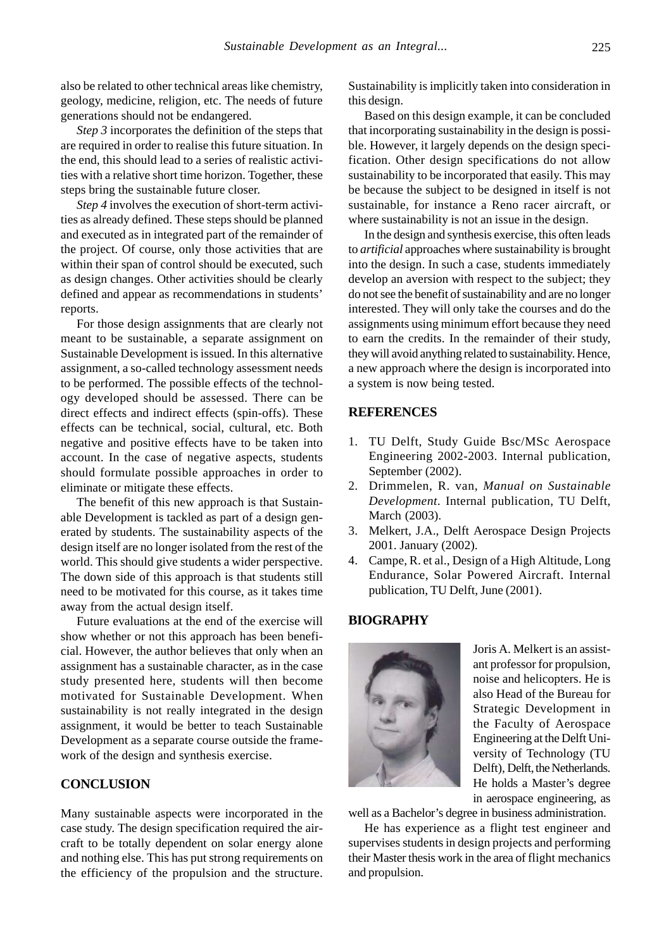also be related to other technical areas like chemistry, geology, medicine, religion, etc. The needs of future generations should not be endangered.

*Step 3* incorporates the definition of the steps that are required in order to realise this future situation. In the end, this should lead to a series of realistic activities with a relative short time horizon. Together, these steps bring the sustainable future closer.

*Step 4* involves the execution of short-term activities as already defined. These steps should be planned and executed as in integrated part of the remainder of the project. Of course, only those activities that are within their span of control should be executed, such as design changes. Other activities should be clearly defined and appear as recommendations in students' reports.

For those design assignments that are clearly not meant to be sustainable, a separate assignment on Sustainable Development is issued. In this alternative assignment, a so-called technology assessment needs to be performed. The possible effects of the technology developed should be assessed. There can be direct effects and indirect effects (spin-offs). These effects can be technical, social, cultural, etc. Both negative and positive effects have to be taken into account. In the case of negative aspects, students should formulate possible approaches in order to eliminate or mitigate these effects.

The benefit of this new approach is that Sustainable Development is tackled as part of a design generated by students. The sustainability aspects of the design itself are no longer isolated from the rest of the world. This should give students a wider perspective. The down side of this approach is that students still need to be motivated for this course, as it takes time away from the actual design itself.

Future evaluations at the end of the exercise will show whether or not this approach has been beneficial. However, the author believes that only when an assignment has a sustainable character, as in the case study presented here, students will then become motivated for Sustainable Development. When sustainability is not really integrated in the design assignment, it would be better to teach Sustainable Development as a separate course outside the framework of the design and synthesis exercise.

#### **CONCLUSION**

Many sustainable aspects were incorporated in the case study. The design specification required the aircraft to be totally dependent on solar energy alone and nothing else. This has put strong requirements on the efficiency of the propulsion and the structure. Sustainability is implicitly taken into consideration in this design.

Based on this design example, it can be concluded that incorporating sustainability in the design is possible. However, it largely depends on the design specification. Other design specifications do not allow sustainability to be incorporated that easily. This may be because the subject to be designed in itself is not sustainable, for instance a Reno racer aircraft, or where sustainability is not an issue in the design.

In the design and synthesis exercise, this often leads to *artificial* approaches where sustainability is brought into the design. In such a case, students immediately develop an aversion with respect to the subject; they do not see the benefit of sustainability and are no longer interested. They will only take the courses and do the assignments using minimum effort because they need to earn the credits. In the remainder of their study, they will avoid anything related to sustainability. Hence, a new approach where the design is incorporated into a system is now being tested.

## **REFERENCES**

- 1. TU Delft, Study Guide Bsc/MSc Aerospace Engineering 2002-2003. Internal publication, September (2002).
- 2. Drimmelen, R. van, *Manual on Sustainable Development*. Internal publication, TU Delft, March (2003).
- 3. Melkert, J.A., Delft Aerospace Design Projects 2001. January (2002).
- 4. Campe, R. et al., Design of a High Altitude, Long Endurance, Solar Powered Aircraft. Internal publication, TU Delft, June (2001).

#### **BIOGRAPHY**



Joris A. Melkert is an assistant professor for propulsion, noise and helicopters. He is also Head of the Bureau for Strategic Development in the Faculty of Aerospace Engineering at the Delft University of Technology (TU Delft), Delft, the Netherlands. He holds a Master's degree in aerospace engineering, as

well as a Bachelor's degree in business administration.

He has experience as a flight test engineer and supervises students in design projects and performing their Master thesis work in the area of flight mechanics and propulsion.